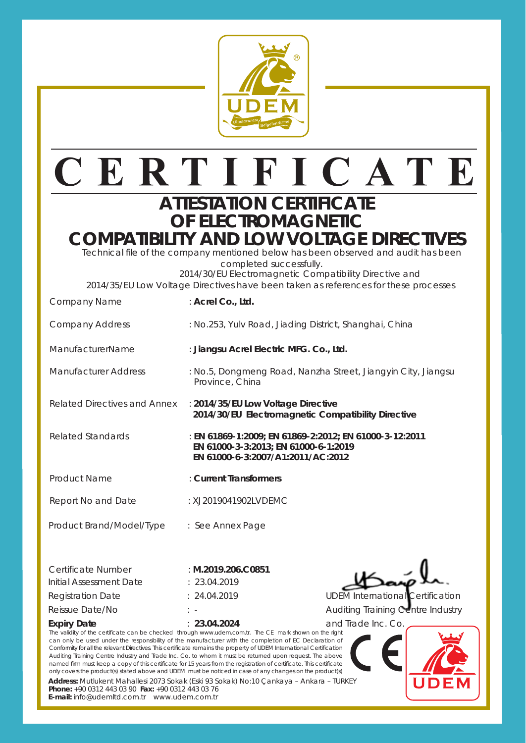

# CERTIFICATE

#### **ATTESTATION CERTIFICATE OF ELECTROMAGNETIC COMPATIBILITY AND LOW VOLTAGE DIRECTI**

Technical file of the company mentioned below has been observed and audit has been completed successfully.

 2014/30/EU Electromagnetic Compatibility Directive and 2014/35/EU Low Voltage Directives have been taken as references for these processes

> **EN 61000-3-3:2013; EN 61000-6-1:2019 EN 61000-6-3:2007/A1:2011/AC:2012**

 **2014/30/EU Electromagnetic Compatibility Directive**

Province, China

|  | . . |  |
|--|-----|--|
|  |     |  |
|  |     |  |
|  |     |  |
|  |     |  |
|  |     |  |

Company Address : No.253, Yulv Road, Jiading District, Shanghai, China

ManufacturerName : **Jiangsu Acrel Electric MFG. Co., Ltd.**

Manufacturer Address : No.5, Dongmeng Road, Nanzha Street, Jiangyin City, Jiangsu

Related Directives and Annex : **2014/35/EU Low Voltage Directive**

Related Standards : **EN 61869-1:2009; EN 61869-2:2012; EN 61000-3-12:2011**

Product Name : **Current Transformers**

Report No and Date : XJ2019041902LVDEMC

Product Brand/Model/Type : See Annex Page

Company Name : **Acrel Co., Ltd.**

| Certificate Number      | : $M.2019.206.C0851$ |
|-------------------------|----------------------|
| Initial Assessment Date | : 23.04.2019         |
| Registration Date       | : 24.04.2019         |
| Reissue Date/No         | $\cdot$ .            |
|                         |                      |

**Expiry Date** : **23.04.2024**

UDEM International Certification

Auditing Training Centre Industry and Trade Inc. Co.

The validity of the certificate can be checked through www.udem.com.tr. The CE mark shown on the right can only be used under the responsibility of the manufacturer with the completion of EC Declaration of Conformity for all the relevant Directives. This certificate remains the property of UDEM International Certification Auditing Training Centre Industry and Trade Inc. Co. to whom it must be returned upon request. The above named firm must keep a copy of this certificate for 15 years from the registration of certificate. This certificate only covers the product(s) stated above and UDEM must be noticed in case of any changes on the product(s)

**Address:** Mutlukent Mahallesi 2073 Sokak (Eski 93 Sokak) No:10 Çankaya – Ankara – TURKEY **Phone:** +90 0312 443 03 90 **Fax:** +90 0312 443 03 76

**E-mail:** info@udemltd.com.tr www.udem.com.tr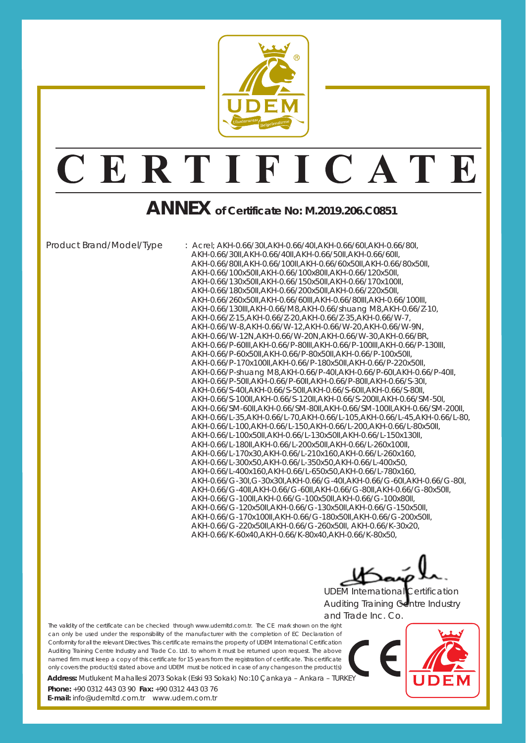

### CERTIFICATE

### **ANNEX of Certificate No: M.2019.206.C0851**

Product Brand/Model/Type : Acrel; AKH-0.66/30I,AKH-0.66/40I,AKH-0.66/60I,AKH-0.66/80I, AKH-0.66/30II,AKH-0.66/40II,AKH-0.66/50II,AKH-0.66/60II, AKH-0.66/80II,AKH-0.66/100II,AKH-0.66/60x50II,AKH-0.66/80x50II, AKH-0.66/100x50II,AKH-0.66/100x80II,AKH-0.66/120x50II, AKH-0.66/130x50II,AKH-0.66/150x50II,AKH-0.66/170x100II, AKH-0.66/180x50II,AKH-0.66/200x50II,AKH-0.66/220x50II, AKH-0.66/260x50II,AKH-0.66/60III,AKH-0.66/80III,AKH-0.66/100III, AKH-0.66/130III,AKH-0.66/M8,AKH-0.66/shuang M8,AKH-0.66/Z-10, AKH-0.66/Z-15,AKH-0.66/Z-20,AKH-0.66/Z-35,AKH-0.66/W-7, AKH-0.66/W-8,AKH-0.66/W-12,AKH-0.66/W-20,AKH-0.66/W-9N, AKH-0.66/W-12N,AKH-0.66/W-20N,AKH-0.66/W-30,AKH-0.66/BR, AKH-0.66/P-60III,AKH-0.66/P-80III,AKH-0.66/P-100III,AKH-0.66/P-130III, AKH-0.66/P-60x50II,AKH-0.66/P-80x50II,AKH-0.66/P-100x50II, AKH-0.66/P-170x100II,AKH-0.66/P-180x50II,AKH-0.66/P-220x50II, AKH-0.66/P-shuang M8,AKH-0.66/P-40I,AKH-0.66/P-60I,AKH-0.66/P-40II, AKH-0.66/P-50II,AKH-0.66/P-60II,AKH-0.66/P-80II,AKH-0.66/S-30I, AKH-0.66/S-40I,AKH-0.66/S-50II,AKH-0.66/S-60II,AKH-0.66/S-80II, AKH-0.66/S-100II,AKH-0.66/S-120II,AKH-0.66/S-200II,AKH-0.66/SM-50I, AKH-0.66/SM-60II,AKH-0.66/SM-80II,AKH-0.66/SM-100II,AKH-0.66/SM-200II, AKH-0.66/L-35,AKH-0.66/L-70,AKH-0.66/L-105,AKH-0.66/L-45,AKH-0.66/L-80, AKH-0.66/L-100,AKH-0.66/L-150,AKH-0.66/L-200,AKH-0.66/L-80x50II, AKH-0.66/L-100x50II,AKH-0.66/L-130x50II,AKH-0.66/L-150x130II, AKH-0.66/L-180II,AKH-0.66/L-200x50II,AKH-0.66/L-260x100II, AKH-0.66/L-170x30,AKH-0.66/L-210x160,AKH-0.66/L-260x160, AKH-0.66/L-300x50,AKH-0.66/L-350x50,AKH-0.66/L-400x50, AKH-0.66/L-400x160,AKH-0.66/L-650x50,AKH-0.66/L-780x160, AKH-0.66/G-30I,G-30x30I,AKH-0.66/G-40I,AKH-0.66/G-60I,AKH-0.66/G-80I, AKH-0.66/G-40II,AKH-0.66/G-60II,AKH-0.66/G-80II,AKH-0.66/G-80x50II, AKH-0.66/G-100II,AKH-0.66/G-100x50II,AKH-0.66/G-100x80II, AKH-0.66/G-120x50II,AKH-0.66/G-130x50II,AKH-0.66/G-150x50II, AKH-0.66/G-170x100II,AKH-0.66/G-180x50II,AKH-0.66/G-200x50II, AKH-0.66/G-220x50II,AKH-0.66/G-260x50II, AKH-0.66/K-30x20, AKH-0.66/K-60x40,AKH-0.66/K-80x40,AKH-0.66/K-80x50,

UDEM International Certification

Auditing Training Centre Industry and Trade Inc. Co.

The validity of the certificate can be checked through www.udemltd.com.tr. The CE mark shown on the right can only be used under the responsibility of the manufacturer with the completion of EC Declaration of Conformity for all the relevant Directives. This certificate remains the property of UDEM International Certification Auditing Training Centre Industry and Trade Co. Ltd. to whom it must be returned upon request. The above named firm must keep a copy of this certificate for 15 years from the registration of certificate. This certificate only covers the product(s) stated above and UDEM must be noticed in case of any changes on the product(s)

**Address:** Mutlukent Mahallesi 2073 Sokak (Eski 93 Sokak) No:10 Çankaya – Ankara – TURKEY

**E-mail:** info@udemltd.com.tr www.udem.com.tr **Phone:** +90 0312 443 03 90 **Fax:** +90 0312 443 03 76